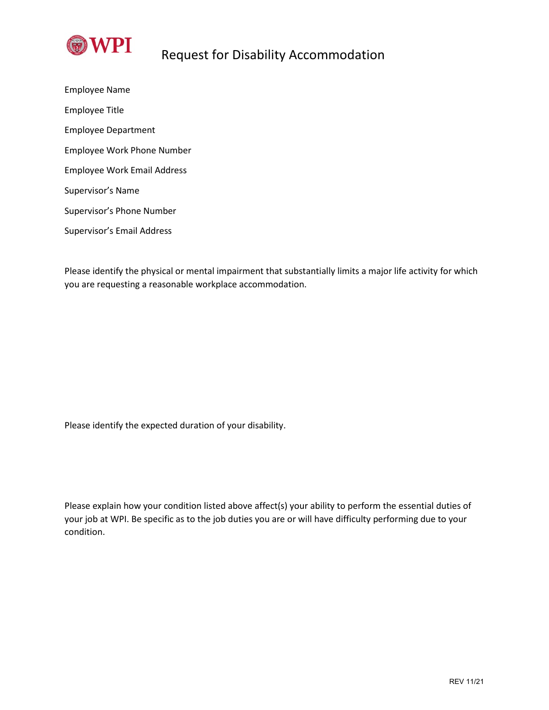

Employee Name Employee Title Employee Department Employee Work Phone Number Employee Work Email Address Supervisor's Name Supervisor's Phone Number Supervisor's Email Address

Please identify the physical or mental impairment that substantially limits a major life activity for which you are requesting a reasonable workplace accommodation.

Please identify the expected duration of your disability.

Please explain how your condition listed above affect(s) your ability to perform the essential duties of your job at WPI. Be specific as to the job duties you are or will have difficulty performing due to your condition.